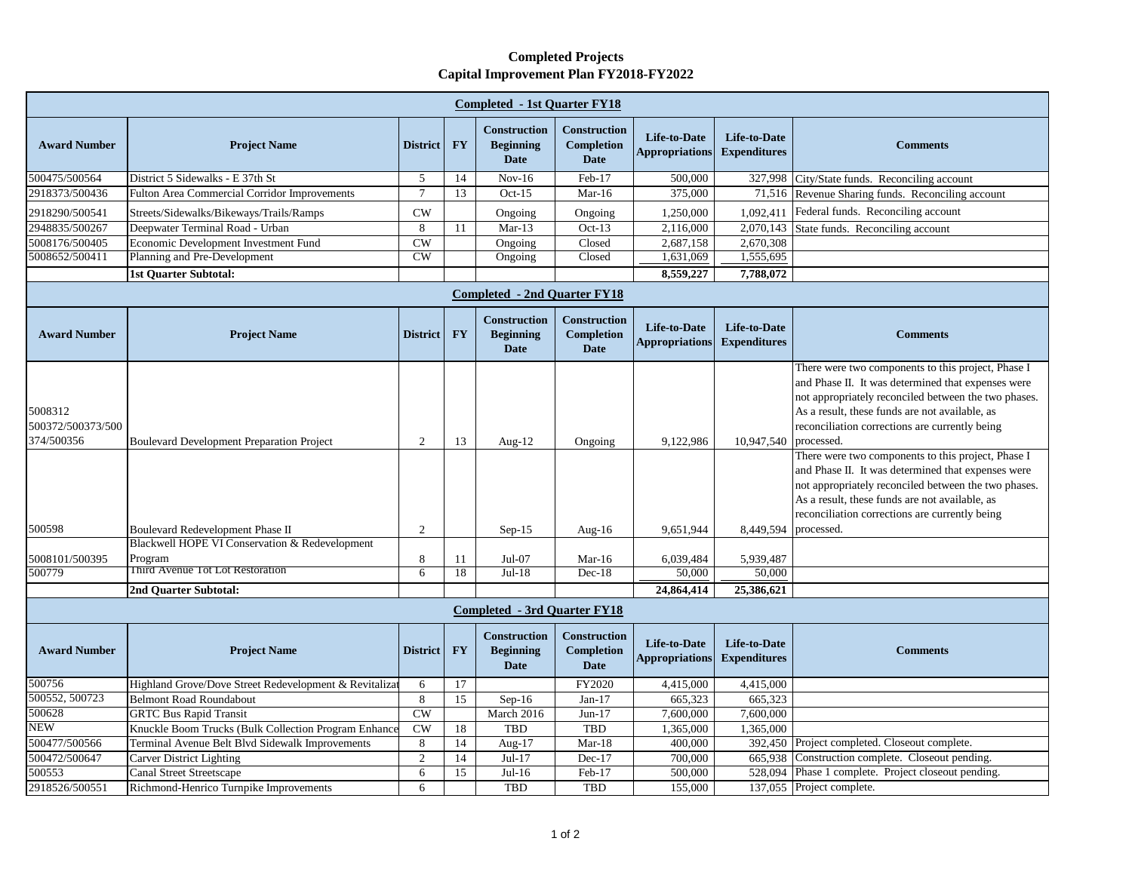## **Completed Projects Capital Improvement Plan FY2018-FY2022**

| <b>Completed - 1st Ouarter FY18</b>        |                                                        |                        |           |                                                        |                                                         |                                              |                                            |                                                                                                                                                                                                                                                                                    |  |  |  |
|--------------------------------------------|--------------------------------------------------------|------------------------|-----------|--------------------------------------------------------|---------------------------------------------------------|----------------------------------------------|--------------------------------------------|------------------------------------------------------------------------------------------------------------------------------------------------------------------------------------------------------------------------------------------------------------------------------------|--|--|--|
| <b>Award Number</b>                        | <b>Project Name</b>                                    | <b>District</b>        | <b>FY</b> | <b>Construction</b><br><b>Beginning</b><br><b>Date</b> | <b>Construction</b><br><b>Completion</b><br><b>Date</b> | <b>Life-to-Date</b><br><b>Appropriations</b> | <b>Life-to-Date</b><br><b>Expenditures</b> | <b>Comments</b>                                                                                                                                                                                                                                                                    |  |  |  |
| 500475/500564                              | District 5 Sidewalks - E 37th St                       | 5                      | 14        | $Nov-16$                                               | Feb-17                                                  | 500,000                                      | 327,998                                    | City/State funds. Reconciling account                                                                                                                                                                                                                                              |  |  |  |
| 2918373/500436                             | <b>Fulton Area Commercial Corridor Improvements</b>    | 7                      | 13        | $Oct-15$                                               | $Mar-16$                                                | 375,000                                      |                                            | 71,516 Revenue Sharing funds. Reconciling account                                                                                                                                                                                                                                  |  |  |  |
| 2918290/500541                             | Streets/Sidewalks/Bikeways/Trails/Ramps                | CW                     |           | Ongoing                                                | Ongoing                                                 | 1,250,000                                    | 1,092,411                                  | Federal funds. Reconciling account                                                                                                                                                                                                                                                 |  |  |  |
| 2948835/500267                             | Deepwater Terminal Road - Urban                        | 8                      | 11        | $Mar-13$                                               | $Oct-13$                                                | 2,116,000                                    | 2,070,143                                  | State funds. Reconciling account                                                                                                                                                                                                                                                   |  |  |  |
| 5008176/500405                             | Economic Development Investment Fund                   | CW                     |           | Ongoing                                                | Closed                                                  | 2,687,158                                    | 2,670,308                                  |                                                                                                                                                                                                                                                                                    |  |  |  |
| 5008652/500411                             | Planning and Pre-Development                           | $\overline{\text{CW}}$ |           | Ongoing                                                | Closed                                                  | 1,631,069                                    | 1,555,695                                  |                                                                                                                                                                                                                                                                                    |  |  |  |
|                                            | <b>1st Ouarter Subtotal:</b>                           |                        |           |                                                        |                                                         | 8,559,227                                    | 7,788,072                                  |                                                                                                                                                                                                                                                                                    |  |  |  |
| <b>Completed - 2nd Quarter FY18</b>        |                                                        |                        |           |                                                        |                                                         |                                              |                                            |                                                                                                                                                                                                                                                                                    |  |  |  |
| <b>Award Number</b>                        | <b>Project Name</b>                                    | <b>District</b>        | <b>FY</b> | <b>Construction</b><br><b>Beginning</b><br><b>Date</b> | <b>Construction</b><br><b>Completion</b><br><b>Date</b> | <b>Life-to-Date</b><br><b>Appropriations</b> | <b>Life-to-Date</b><br><b>Expenditures</b> | <b>Comments</b>                                                                                                                                                                                                                                                                    |  |  |  |
| 5008312<br>500372/500373/500<br>374/500356 | <b>Boulevard Development Preparation Project</b>       | 2                      | 13        | Aug- $12$                                              | Ongoing                                                 | 9,122,986                                    | 10,947,540                                 | There were two components to this project, Phase I<br>and Phase II. It was determined that expenses were<br>not appropriately reconciled between the two phases.<br>As a result, these funds are not available, as<br>reconciliation corrections are currently being<br>processed. |  |  |  |
| 500598                                     | Boulevard Redevelopment Phase II                       | 2                      |           | $Sep-15$                                               | Aug- $16$                                               | 9,651,944                                    | 8,449,594                                  | There were two components to this project, Phase I<br>and Phase II. It was determined that expenses were<br>not appropriately reconciled between the two phases.<br>As a result, these funds are not available, as<br>reconciliation corrections are currently being<br>processed. |  |  |  |
|                                            | Blackwell HOPE VI Conservation & Redevelopment         |                        |           |                                                        |                                                         |                                              |                                            |                                                                                                                                                                                                                                                                                    |  |  |  |
| 5008101/500395                             | Program                                                | 8                      | 11        | $Jul-07$                                               | $Mar-16$                                                | 6,039,484                                    | 5,939,487                                  |                                                                                                                                                                                                                                                                                    |  |  |  |
| 500779                                     | Third Avenue Tot Lot Restoration                       | 6                      | 18        | $Jul-18$                                               | $Dec-18$                                                | 50,000                                       | 50,000                                     |                                                                                                                                                                                                                                                                                    |  |  |  |
|                                            | 2nd Quarter Subtotal:                                  |                        |           |                                                        |                                                         | 24,864,414                                   | 25,386,621                                 |                                                                                                                                                                                                                                                                                    |  |  |  |
| <b>Completed - 3rd Quarter FY18</b>        |                                                        |                        |           |                                                        |                                                         |                                              |                                            |                                                                                                                                                                                                                                                                                    |  |  |  |
| <b>Award Number</b>                        | <b>Project Name</b>                                    | <b>District</b>        | <b>FY</b> | Construction<br><b>Beginning</b><br><b>Date</b>        | <b>Construction</b><br><b>Completion</b><br><b>Date</b> | Life-to-Date<br><b>Appropriations</b>        | <b>Life-to-Date</b><br><b>Expenditures</b> | <b>Comments</b>                                                                                                                                                                                                                                                                    |  |  |  |
| 500756                                     | Highland Grove/Dove Street Redevelopment & Revitalizar | 6                      | 17        |                                                        | FY2020                                                  | 4,415,000                                    | 4,415,000                                  |                                                                                                                                                                                                                                                                                    |  |  |  |
| 500552, 500723                             | <b>Belmont Road Roundabout</b>                         | $8\,$                  | 15        | $Sep-16$                                               | Jan- $17$                                               | 665,323                                      | 665,323                                    |                                                                                                                                                                                                                                                                                    |  |  |  |
| 500628                                     | <b>GRTC Bus Rapid Transit</b>                          | CW                     |           | March 2016                                             | $Jun-17$                                                | 7,600,000                                    | 7,600,000                                  |                                                                                                                                                                                                                                                                                    |  |  |  |
| <b>NEW</b>                                 | Knuckle Boom Trucks (Bulk Collection Program Enhance   | CW                     | 18        | <b>TBD</b>                                             | <b>TBD</b>                                              | 1,365,000                                    | 1,365,000                                  |                                                                                                                                                                                                                                                                                    |  |  |  |
| 500477/500566                              | Terminal Avenue Belt Blvd Sidewalk Improvements        | 8                      | 14        | Aug- $17$                                              | $Mar-18$                                                | 400,000                                      |                                            | 392,450 Project completed. Closeout complete.                                                                                                                                                                                                                                      |  |  |  |
| 500472/500647                              | Carver District Lighting                               | $\overline{2}$         | 14        | $Jul-17$                                               | $Dec-17$                                                | 700,000                                      | 665,938                                    | Construction complete. Closeout pending.                                                                                                                                                                                                                                           |  |  |  |
| 500553                                     | <b>Canal Street Streetscape</b>                        | 6                      | 15        | $Jul-16$                                               | Feb-17                                                  | 500,000                                      | 528,094                                    | Phase 1 complete. Project closeout pending.                                                                                                                                                                                                                                        |  |  |  |
| 2918526/500551                             | Richmond-Henrico Turnpike Improvements                 | 6                      |           | <b>TBD</b>                                             | <b>TBD</b>                                              | 155,000                                      |                                            | 137,055 Project complete.                                                                                                                                                                                                                                                          |  |  |  |